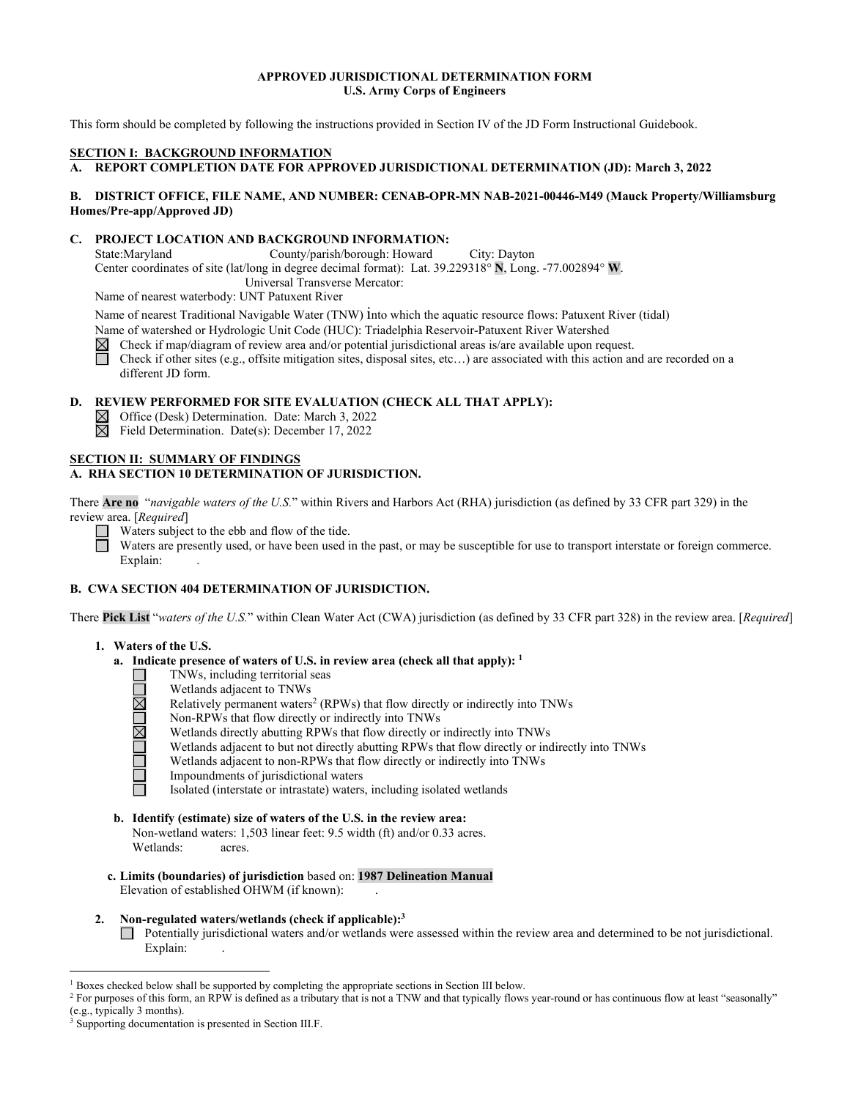## **APPROVED JURISDICTIONAL DETERMINATION FORM U.S. Army Corps of Engineers**

This form should be completed by following the instructions provided in Section IV of the JD Form Instructional Guidebook.

## **SECTION I: BACKGROUND INFORMATION**

**A. REPORT COMPLETION DATE FOR APPROVED JURISDICTIONAL DETERMINATION (JD): March 3, 2022** 

## **B. DISTRICT OFFICE, FILE NAME, AND NUMBER: CENAB-OPR-MN NAB-2021-00446-M49 (Mauck Property/Williamsburg Homes/Pre-app/Approved JD)**

## **C. PROJECT LOCATION AND BACKGROUND INFORMATION:**

State:Maryland County/parish/borough: Howard City: Dayton Center coordinates of site (lat/long in degree decimal format): Lat. 39.229318° **N**, Long. -77.002894° **W**. Universal Transverse Mercator:

Name of nearest waterbody: UNT Patuxent River

Name of nearest Traditional Navigable Water (TNW) into which the aquatic resource flows: Patuxent River (tidal) Name of watershed or Hydrologic Unit Code (HUC): Triadelphia Reservoir-Patuxent River Watershed

Check if map/diagram of review area and/or potential jurisdictional areas is/are available upon request.  $\boxtimes$ 

П Check if other sites (e.g., offsite mitigation sites, disposal sites, etc…) are associated with this action and are recorded on a different JD form.

## **D. REVIEW PERFORMED FOR SITE EVALUATION (CHECK ALL THAT APPLY):**

- $\boxtimes$  Office (Desk) Determination. Date: March 3, 2022
- $\boxtimes$  Field Determination. Date(s): December 17, 2022

## **SECTION II: SUMMARY OF FINDINGS A. RHA SECTION 10 DETERMINATION OF JURISDICTION.**

There **Are no** "*navigable waters of the U.S.*" within Rivers and Harbors Act (RHA) jurisdiction (as defined by 33 CFR part 329) in the review area. [*Required*]

Waters subject to the ebb and flow of the tide. Ħ

Waters are presently used, or have been used in the past, or may be susceptible for use to transport interstate or foreign commerce. Explain:

## **B. CWA SECTION 404 DETERMINATION OF JURISDICTION.**

There **Pick List** "*waters of the U.S.*" within Clean Water Act (CWA) jurisdiction (as defined by 33 CFR part 328) in the review area. [*Required*]

## **1. Waters of the U.S.**

- **a. Indicate presence of waters of U.S. in review area (check all that apply): <sup>1</sup>**
	- TNWs, including territorial seas ⊔
	- Wetlands adjacent to TNWs ONOMO
		- Relatively permanent waters<sup>2</sup> (RPWs) that flow directly or indirectly into TNWs
		- Non-RPWs that flow directly or indirectly into TNWs
		- Wetlands directly abutting RPWs that flow directly or indirectly into TNWs
		- Wetlands adjacent to but not directly abutting RPWs that flow directly or indirectly into TNWs
		- Wetlands adjacent to non-RPWs that flow directly or indirectly into TNWs
		- Impoundments of jurisdictional waters
		- Isolated (interstate or intrastate) waters, including isolated wetlands
- **b. Identify (estimate) size of waters of the U.S. in the review area:** Non-wetland waters: 1,503 linear feet: 9.5 width (ft) and/or 0.33 acres. Wetlands: acres.
- **c. Limits (boundaries) of jurisdiction** based on: **1987 Delineation Manual** Elevation of established OHWM (if known):
- **2. Non-regulated waters/wetlands (check if applicable): 3** Potentially jurisdictional waters and/or wetlands were assessed within the review area and determined to be not jurisdictional. Explain:

<sup>&</sup>lt;sup>1</sup> Boxes checked below shall be supported by completing the appropriate sections in Section III below.

<sup>&</sup>lt;sup>2</sup> For purposes of this form, an RPW is defined as a tributary that is not a TNW and that typically flows year-round or has continuous flow at least "seasonally" (e.g., typically 3 months).

Supporting documentation is presented in Section III.F.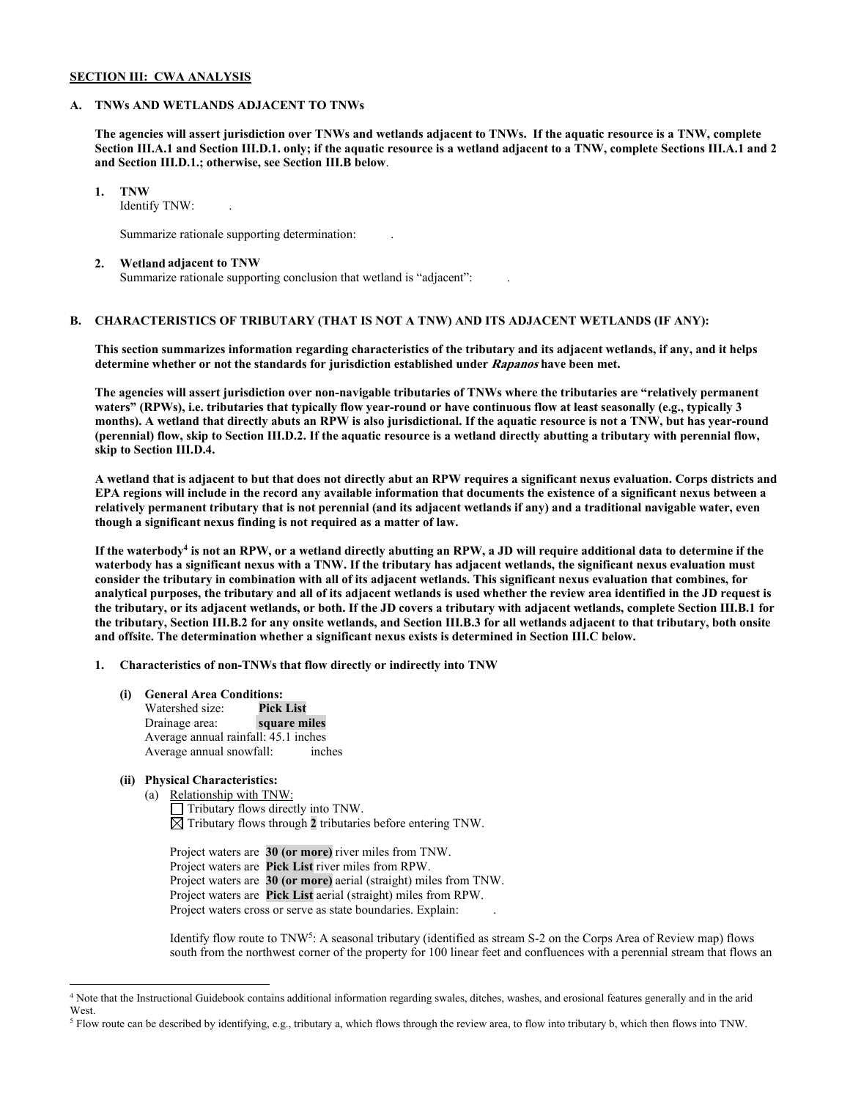## **SECTION III: CWA ANALYSIS**

### **A. TNWs AND WETLANDS ADJACENT TO TNWs**

**The agencies will assert jurisdiction over TNWs and wetlands adjacent to TNWs. If the aquatic resource is a TNW, complete Section III.A.1 and Section III.D.1. only; if the aquatic resource is a wetland adjacent to a TNW, complete Sections III.A.1 and 2 and Section III.D.1.; otherwise, see Section III.B below**.

**1. TNW** 

Identify TNW:

Summarize rationale supporting determination: .

#### **2. Wetland adjacent to TNW**

Summarize rationale supporting conclusion that wetland is "adjacent": .

# **B. CHARACTERISTICS OF TRIBUTARY (THAT IS NOT A TNW) AND ITS ADJACENT WETLANDS (IF ANY):**

**This section summarizes information regarding characteristics of the tributary and its adjacent wetlands, if any, and it helps determine whether or not the standards for jurisdiction established under Rapanos have been met.** 

**The agencies will assert jurisdiction over non-navigable tributaries of TNWs where the tributaries are "relatively permanent waters" (RPWs), i.e. tributaries that typically flow year-round or have continuous flow at least seasonally (e.g., typically 3 months). A wetland that directly abuts an RPW is also jurisdictional. If the aquatic resource is not a TNW, but has year-round (perennial) flow, skip to Section III.D.2. If the aquatic resource is a wetland directly abutting a tributary with perennial flow, skip to Section III.D.4.**

**A wetland that is adjacent to but that does not directly abut an RPW requires a significant nexus evaluation. Corps districts and EPA regions will include in the record any available information that documents the existence of a significant nexus between a relatively permanent tributary that is not perennial (and its adjacent wetlands if any) and a traditional navigable water, even though a significant nexus finding is not required as a matter of law.**

**If the waterbody4 is not an RPW, or a wetland directly abutting an RPW, a JD will require additional data to determine if the waterbody has a significant nexus with a TNW. If the tributary has adjacent wetlands, the significant nexus evaluation must consider the tributary in combination with all of its adjacent wetlands. This significant nexus evaluation that combines, for analytical purposes, the tributary and all of its adjacent wetlands is used whether the review area identified in the JD request is the tributary, or its adjacent wetlands, or both. If the JD covers a tributary with adjacent wetlands, complete Section III.B.1 for the tributary, Section III.B.2 for any onsite wetlands, and Section III.B.3 for all wetlands adjacent to that tributary, both onsite and offsite. The determination whether a significant nexus exists is determined in Section III.C below.**

**1. Characteristics of non-TNWs that flow directly or indirectly into TNW**

**(i) General Area Conditions:**

Watershed size: **Pick List Drainage** area: Average annual rainfall: 45.1 inches Average annual snowfall: inches

# **(ii) Physical Characteristics:**

(a) Relationship with TNW: Tributary flows directly into TNW.  $\boxtimes$  Tributary flows through 2 tributaries before entering TNW.

Project waters are **30 (or more)** river miles from TNW. Project waters are **Pick List** river miles from RPW. Project waters are **30 (or more)** aerial (straight) miles from TNW. Project waters are **Pick List** aerial (straight) miles from RPW. Project waters cross or serve as state boundaries. Explain:

Identify flow route to TNW5: A seasonal tributary (identified as stream S-2 on the Corps Area of Review map) flows south from the northwest corner of the property for 100 linear feet and confluences with a perennial stream that flows an

<sup>4</sup> Note that the Instructional Guidebook contains additional information regarding swales, ditches, washes, and erosional features generally and in the arid West.

<sup>5</sup> Flow route can be described by identifying, e.g., tributary a, which flows through the review area, to flow into tributary b, which then flows into TNW.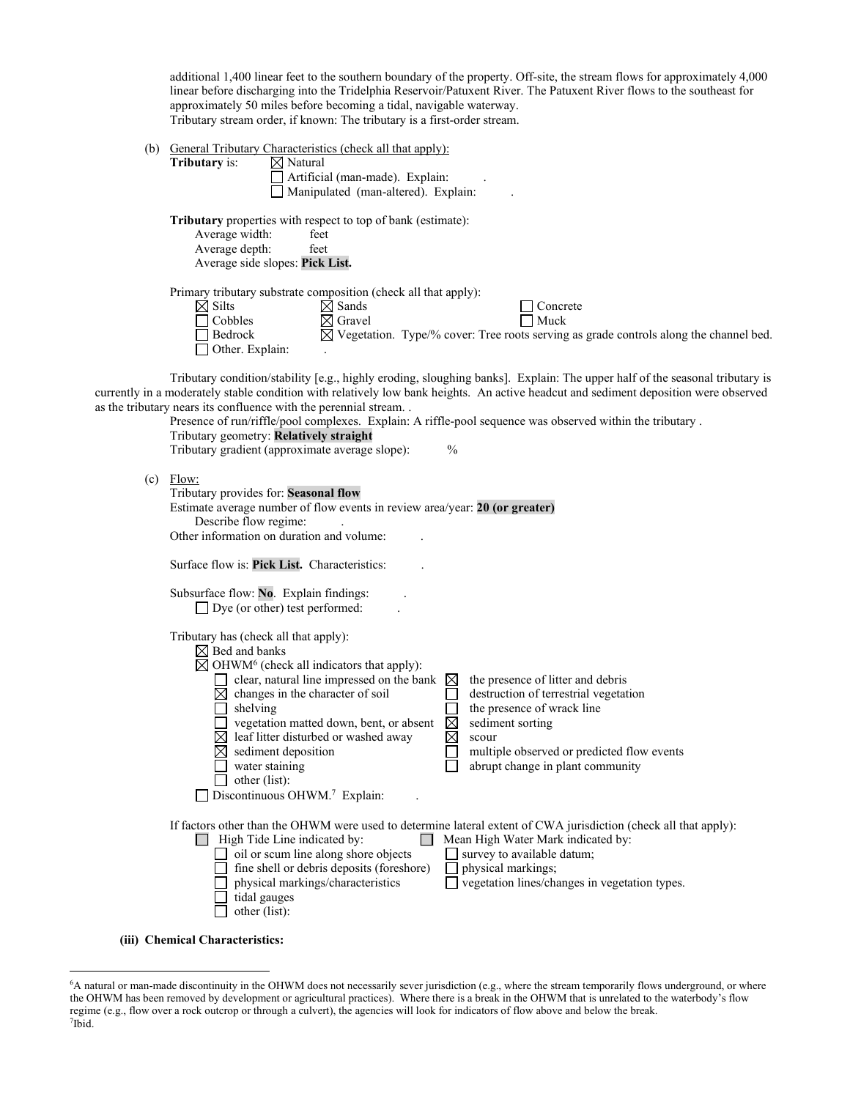additional 1,400 linear feet to the southern boundary of the property. Off-site, the stream flows for approximately 4,000 linear before discharging into the Tridelphia Reservoir/Patuxent River. The Patuxent River flows to the southeast for approximately 50 miles before becoming a tidal, navigable waterway. Tributary stream order, if known: The tributary is a first-order stream.

(b) General Tributary Characteristics (check all that apply):

| <b>Tributary</b> is:            | $\boxtimes$ Natural                                                                               |
|---------------------------------|---------------------------------------------------------------------------------------------------|
|                                 | Artificial (man-made). Explain:                                                                   |
|                                 | Manipulated (man-altered). Explain:                                                               |
|                                 | <b>Tributary</b> properties with respect to top of bank (estimate):                               |
| Average width:                  | feet                                                                                              |
| Average depth:                  | feet                                                                                              |
| Average side slopes: Pick List. |                                                                                                   |
|                                 | Primary tributary substrate composition (check all that apply):                                   |
| $\bowtie$ Silts                 | ⊠ Sands<br>Concrete                                                                               |
| Cobbles                         | Muck<br>$\boxtimes$ Gravel                                                                        |
| <b>Bedrock</b>                  | $\boxtimes$ Vegetation. Type/% cover: Tree roots serving as grade controls along the channel bed. |
| Other. Explain:                 | ٠                                                                                                 |

Tributary condition/stability [e.g., highly eroding, sloughing banks]. Explain: The upper half of the seasonal tributary is currently in a moderately stable condition with relatively low bank heights. An active headcut and sediment deposition were observed as the tribut

|     | e tributary nears its confluence with the perennial stream<br>Presence of run/riffle/pool complexes. Explain: A riffle-pool sequence was observed within the tributary.                                                                                                                                                                                                                                                                   |                                           |                                                                                                                                                                                                                                                             |
|-----|-------------------------------------------------------------------------------------------------------------------------------------------------------------------------------------------------------------------------------------------------------------------------------------------------------------------------------------------------------------------------------------------------------------------------------------------|-------------------------------------------|-------------------------------------------------------------------------------------------------------------------------------------------------------------------------------------------------------------------------------------------------------------|
|     | Tributary geometry: Relatively straight<br>Tributary gradient (approximate average slope):                                                                                                                                                                                                                                                                                                                                                | $\frac{0}{0}$                             |                                                                                                                                                                                                                                                             |
| (c) | Flow:<br>Tributary provides for: Seasonal flow<br>Estimate average number of flow events in review area/year: 20 (or greater)<br>Describe flow regime:<br>Other information on duration and volume:                                                                                                                                                                                                                                       |                                           |                                                                                                                                                                                                                                                             |
|     | Surface flow is: Pick List. Characteristics:                                                                                                                                                                                                                                                                                                                                                                                              |                                           |                                                                                                                                                                                                                                                             |
|     | Subsurface flow: No. Explain findings:<br>$\Box$ Dye (or other) test performed:                                                                                                                                                                                                                                                                                                                                                           |                                           |                                                                                                                                                                                                                                                             |
|     | Tributary has (check all that apply):<br>$\boxtimes$ Bed and banks<br>$\boxtimes$ OHWM <sup>6</sup> (check all indicators that apply):<br>clear, natural line impressed on the bank<br>changes in the character of soil<br>shelving<br>vegetation matted down, bent, or absent<br>$\boxtimes$ leaf litter disturbed or washed away<br>$\boxtimes$ sediment deposition<br>water staining<br>other (list):<br>Discontinuous OHWM.7 Explain: | $\boxtimes$<br>$\boxtimes$<br>$\boxtimes$ | the presence of litter and debris<br>destruction of terrestrial vegetation<br>the presence of wrack line<br>sediment sorting<br>scour<br>multiple observed or predicted flow events<br>abrupt change in plant community                                     |
|     | High Tide Line indicated by:<br>oil or scum line along shore objects<br>fine shell or debris deposits (foreshore)<br>physical markings/characteristics<br>tidal gauges<br>other (list):                                                                                                                                                                                                                                                   |                                           | If factors other than the OHWM were used to determine lateral extent of CWA jurisdiction (check all that apply):<br>Mean High Water Mark indicated by:<br>survey to available datum;<br>physical markings;<br>vegetation lines/changes in vegetation types. |
|     | (iii) Chemical Characteristics:                                                                                                                                                                                                                                                                                                                                                                                                           |                                           |                                                                                                                                                                                                                                                             |

<sup>6</sup> A natural or man-made discontinuity in the OHWM does not necessarily sever jurisdiction (e.g., where the stream temporarily flows underground, or where the OHWM has been removed by development or agricultural practices). Where there is a break in the OHWM that is unrelated to the waterbody's flow regime (e.g., flow over a rock outcrop or through a culvert), the agencies will look for indicators of flow above and below the break. 7 Ibid.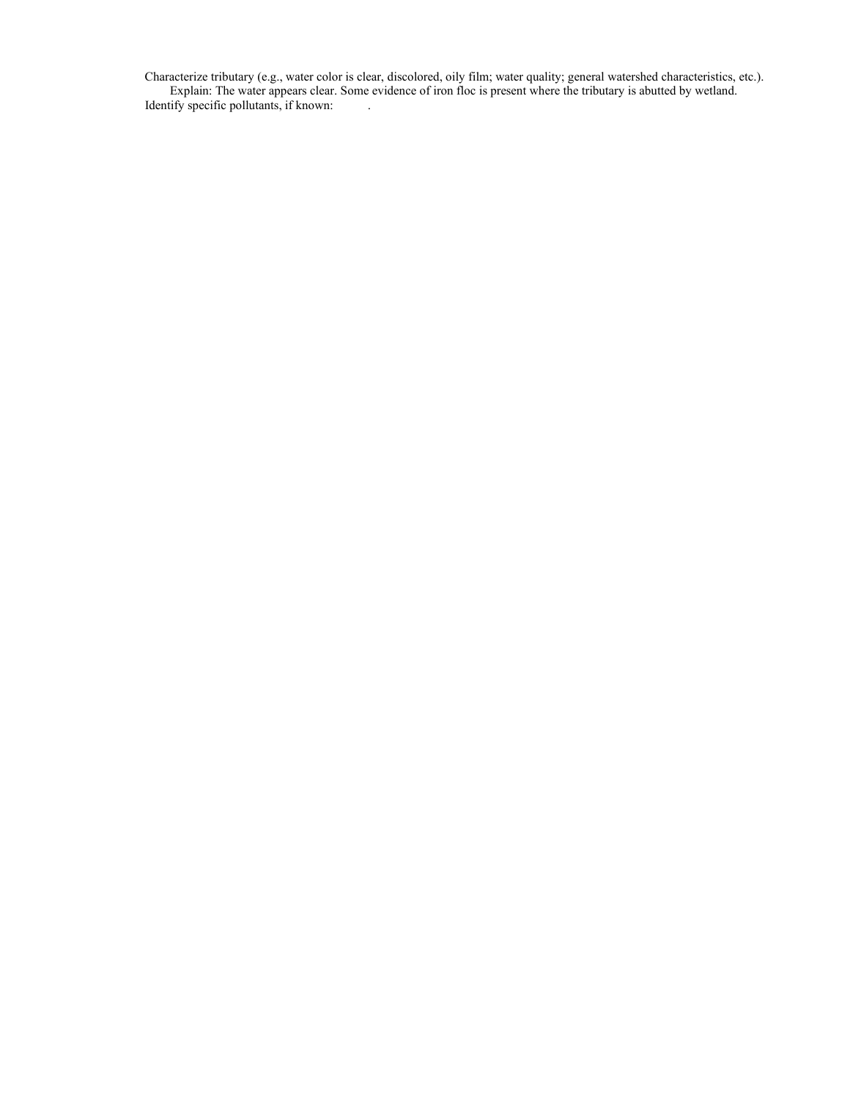Characterize tributary (e.g., water color is clear, discolored, oily film; water quality; general watershed characteristics, etc.). Explain: The water appears clear. Some evidence of iron floc is present where the tributary is abutted by wetland. Identify specific pollutants, if known: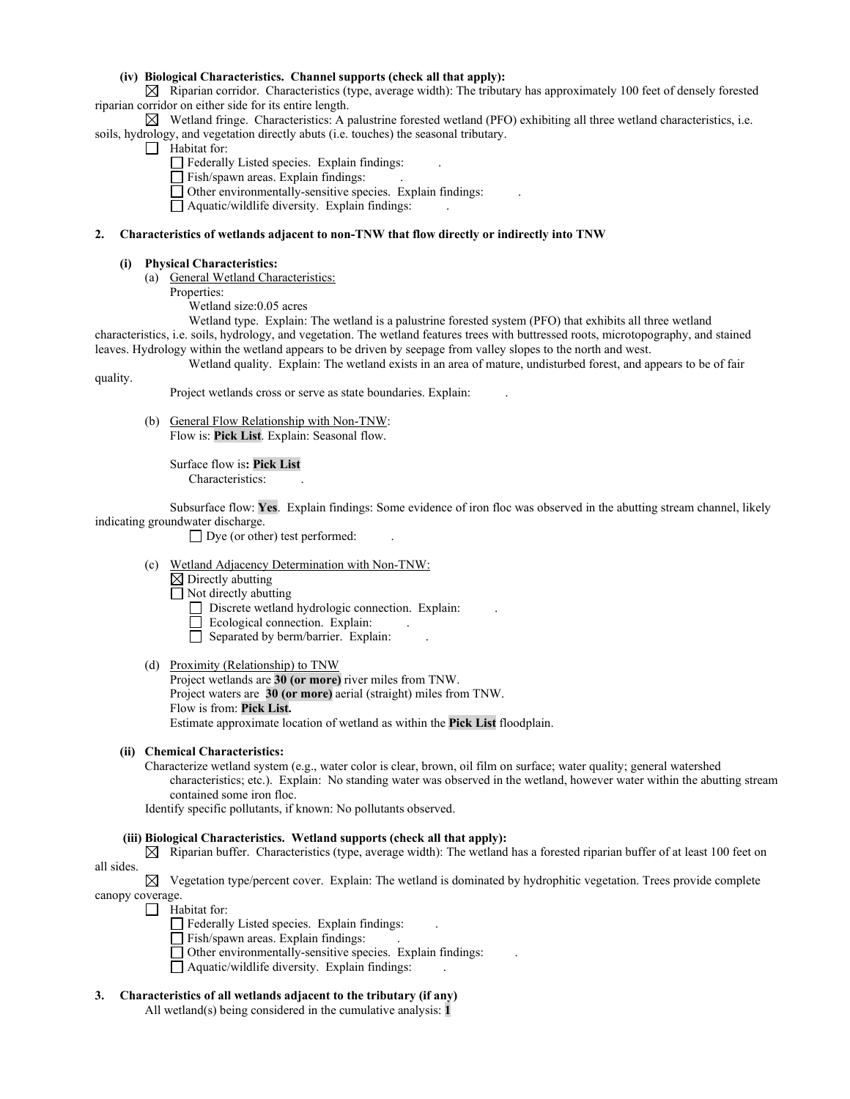## **(iv) Biological Characteristics. Channel supports (check all that apply):**

 $\boxtimes$  Riparian corridor. Characteristics (type, average width): The tributary has approximately 100 feet of densely forested riparian corridor on either side for its entire length.

 $\boxtimes$  Wetland fringe. Characteristics: A palustrine forested wetland (PFO) exhibiting all three wetland characteristics, i.e. soils, hydrology, and vegetation directly abuts (i.e. touches) the seasonal tributary.

- Habitat for:
	- Federally Listed species. Explain findings: .
	- Fish/spawn areas. Explain findings: .
	- Other environmentally-sensitive species. Explain findings: .
	- Aquatic/wildlife diversity. Explain findings: .

#### **2. Characteristics of wetlands adjacent to non-TNW that flow directly or indirectly into TNW**

#### **(i) Physical Characteristics:**

- (a) General Wetland Characteristics:
	- Properties:
		- Wetland size:0.05 acres

Wetland type. Explain: The wetland is a palustrine forested system (PFO) that exhibits all three wetland characteristics, i.e. soils, hydrology, and vegetation. The wetland features trees with buttressed roots, microtopography, and stained leaves. Hydrology within the wetland appears to be driven by seepage from valley slopes to the north and west. Wetland quality. Explain: The wetland exists in an area of mature, undisturbed forest, and appears to be of fair

quality.

Project wetlands cross or serve as state boundaries. Explain: .

(b) General Flow Relationship with Non-TNW: Flow is: **Pick List**. Explain: Seasonal flow.

> Surface flow is**: Pick List**  Characteristics:

Subsurface flow: **Yes**. Explain findings: Some evidence of iron floc was observed in the abutting stream channel, likely indicating groundwater discharge.

 $\Box$  Dye (or other) test performed:

- (c) Wetland Adjacency Determination with Non-TNW:
	- $\boxtimes$  Directly abutting

 $\Box$  Not directly abutting

- Discrete wetland hydrologic connection. Explain:
- Ecological connection. Explain:
- $\Box$  Separated by berm/barrier. Explain:

## (d) Proximity (Relationship) to TNW

Project wetlands are **30 (or more)** river miles from TNW. Project waters are **30 (or more)** aerial (straight) miles from TNW. Flow is from: **Pick List.** Estimate approximate location of wetland as within the **Pick List** floodplain.

### **(ii) Chemical Characteristics:**

Characterize wetland system (e.g., water color is clear, brown, oil film on surface; water quality; general watershed characteristics; etc.). Explain: No standing water was observed in the wetland, however water within the abutting stream contained some iron floc.

Identify specific pollutants, if known: No pollutants observed.

### **(iii) Biological Characteristics. Wetland supports (check all that apply):**

 $\boxtimes$  Riparian buffer. Characteristics (type, average width): The wetland has a forested riparian buffer of at least 100 feet on all sides.

 $\boxtimes$  Vegetation type/percent cover. Explain: The wetland is dominated by hydrophitic vegetation. Trees provide complete canopy coverage.

Habitat for:

- Federally Listed species. Explain findings: .
	- Fish/spawn areas. Explain findings: ...
- Other environmentally-sensitive species. Explain findings: .
- $\Box$  Aquatic/wildlife diversity. Explain findings:
- **3. Characteristics of all wetlands adjacent to the tributary (if any)**

All wetland(s) being considered in the cumulative analysis: **1**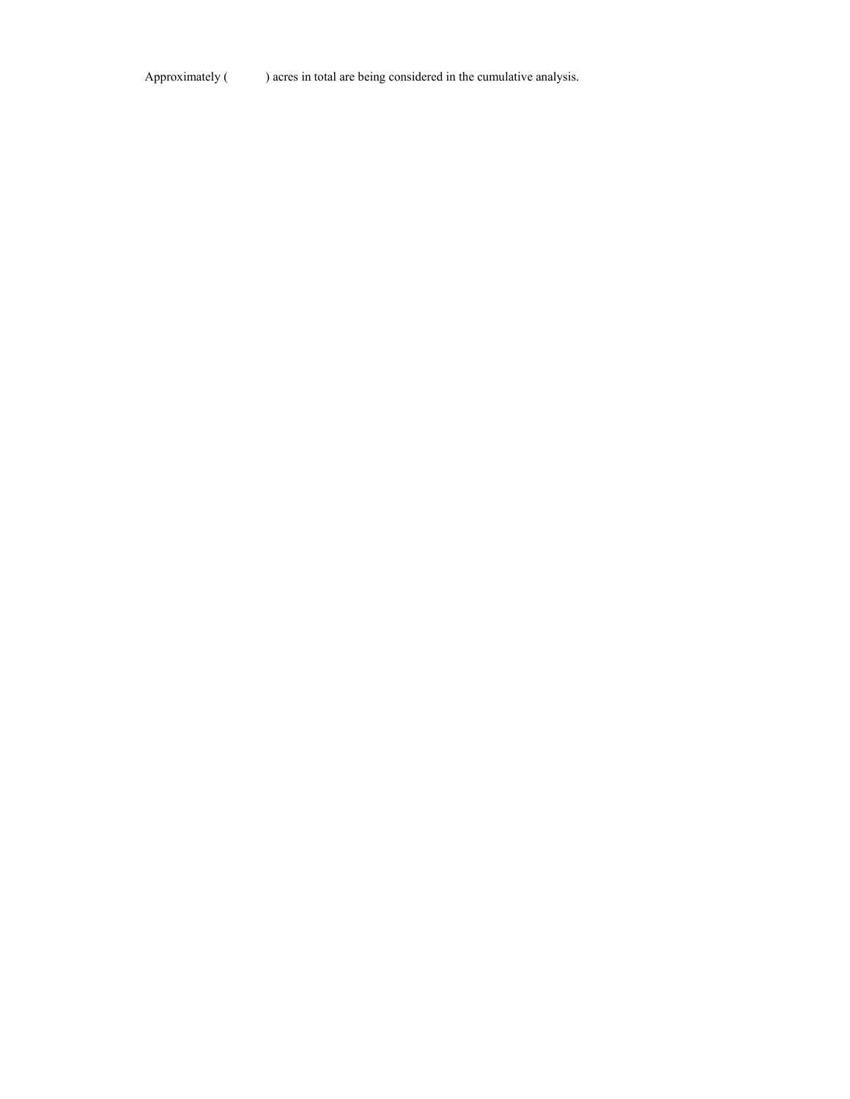Approximately ( ) acres in total are being considered in the cumulative analysis.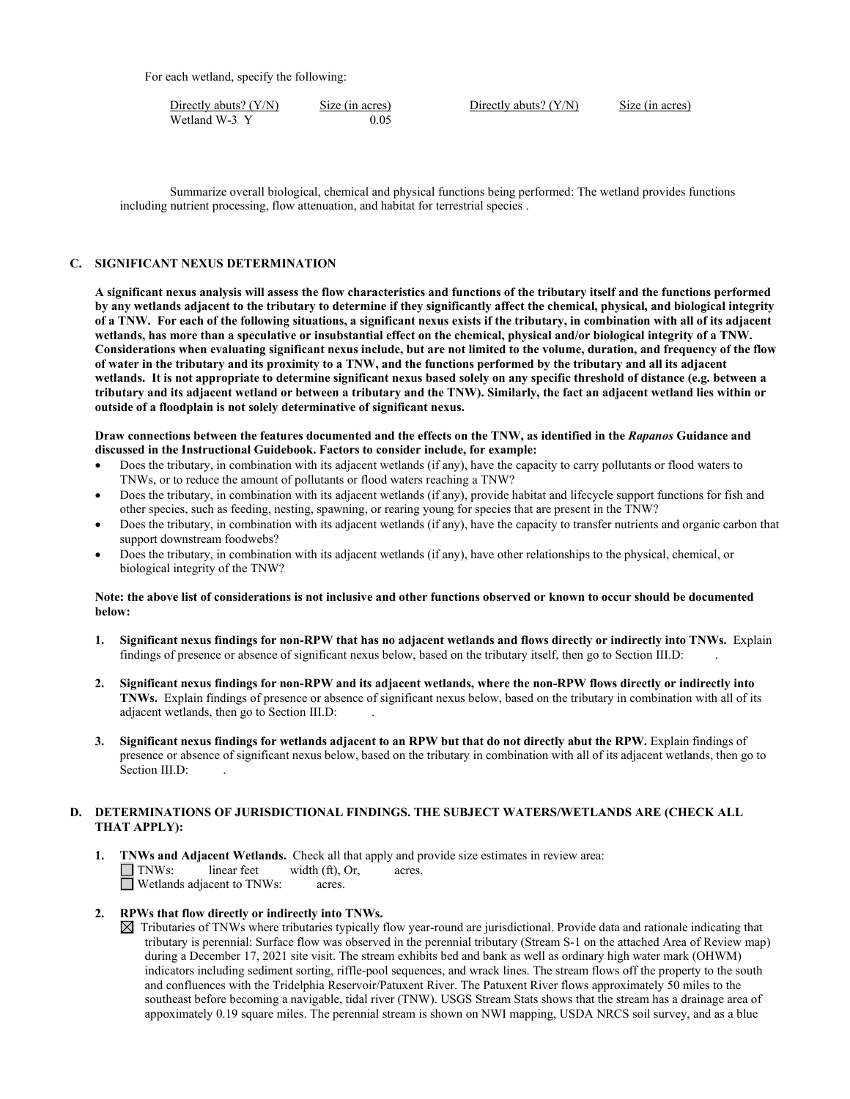For each wetland, specify the following:

| Directly abuts? $(Y/N)$ | Size (in acres) | Directly abuts? $(Y/N)$ | Size (in acres) |
|-------------------------|-----------------|-------------------------|-----------------|
| Wetland W-3 Y           | 0.05            |                         |                 |

Summarize overall biological, chemical and physical functions being performed: The wetland provides functions including nutrient processing, flow attenuation, and habitat for terrestrial species .

## **C. SIGNIFICANT NEXUS DETERMINATION**

**A significant nexus analysis will assess the flow characteristics and functions of the tributary itself and the functions performed by any wetlands adjacent to the tributary to determine if they significantly affect the chemical, physical, and biological integrity of a TNW. For each of the following situations, a significant nexus exists if the tributary, in combination with all of its adjacent wetlands, has more than a speculative or insubstantial effect on the chemical, physical and/or biological integrity of a TNW. Considerations when evaluating significant nexus include, but are not limited to the volume, duration, and frequency of the flow of water in the tributary and its proximity to a TNW, and the functions performed by the tributary and all its adjacent wetlands. It is not appropriate to determine significant nexus based solely on any specific threshold of distance (e.g. between a tributary and its adjacent wetland or between a tributary and the TNW). Similarly, the fact an adjacent wetland lies within or outside of a floodplain is not solely determinative of significant nexus.** 

#### **Draw connections between the features documented and the effects on the TNW, as identified in the** *Rapanos* **Guidance and discussed in the Instructional Guidebook. Factors to consider include, for example:**

- Does the tributary, in combination with its adjacent wetlands (if any), have the capacity to carry pollutants or flood waters to TNWs, or to reduce the amount of pollutants or flood waters reaching a TNW?
- Does the tributary, in combination with its adjacent wetlands (if any), provide habitat and lifecycle support functions for fish and other species, such as feeding, nesting, spawning, or rearing young for species that are present in the TNW?
- Does the tributary, in combination with its adjacent wetlands (if any), have the capacity to transfer nutrients and organic carbon that support downstream foodwebs?
- Does the tributary, in combination with its adjacent wetlands (if any), have other relationships to the physical, chemical, or biological integrity of the TNW?

## **Note: the above list of considerations is not inclusive and other functions observed or known to occur should be documented below:**

- **1. Significant nexus findings for non-RPW that has no adjacent wetlands and flows directly or indirectly into TNWs.** Explain findings of presence or absence of significant nexus below, based on the tributary itself, then go to Section III.D: .
- **2. Significant nexus findings for non-RPW and its adjacent wetlands, where the non-RPW flows directly or indirectly into TNWs.** Explain findings of presence or absence of significant nexus below, based on the tributary in combination with all of its adjacent wetlands, then go to Section III.D: .
- **3. Significant nexus findings for wetlands adjacent to an RPW but that do not directly abut the RPW.** Explain findings of presence or absence of significant nexus below, based on the tributary in combination with all of its adjacent wetlands, then go to Section III.D:

## **D. DETERMINATIONS OF JURISDICTIONAL FINDINGS. THE SUBJECT WATERS/WETLANDS ARE (CHECK ALL THAT APPLY):**

- **1. TNWs and Adjacent Wetlands.** Check all that apply and provide size estimates in review area:  $\Box$  **TNWs:** linear feet width (ft), Or, acres.  $width (ft), Or, \narepsilon.$ Wetlands adjacent to TNWs: acres.
- **2. RPWs that flow directly or indirectly into TNWs.**
	- $\boxtimes$  Tributaries of TNWs where tributaries typically flow year-round are jurisdictional. Provide data and rationale indicating that tributary is perennial: Surface flow was observed in the perennial tributary (Stream S-1 on the attached Area of Review map) during a December 17, 2021 site visit. The stream exhibits bed and bank as well as ordinary high water mark (OHWM) indicators including sediment sorting, riffle-pool sequences, and wrack lines. The stream flows off the property to the south and confluences with the Tridelphia Reservoir/Patuxent River. The Patuxent River flows approximately 50 miles to the southeast before becoming a navigable, tidal river (TNW). USGS Stream Stats shows that the stream has a drainage area of appoximately 0.19 square miles. The perennial stream is shown on NWI mapping, USDA NRCS soil survey, and as a blue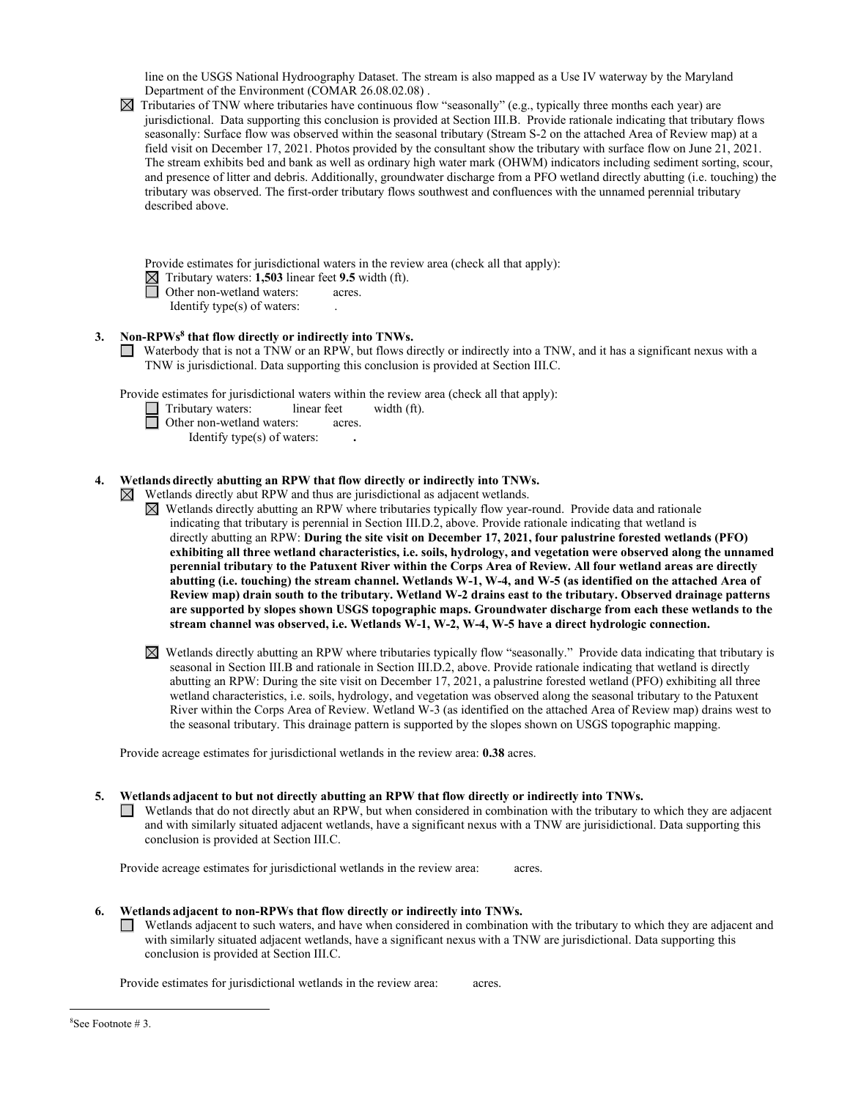line on the USGS National Hydroography Dataset. The stream is also mapped as a Use IV waterway by the Maryland Department of the Environment (COMAR 26.08.02.08) .

| $\boxtimes$ Tributaries of TNW where tributaries have continuous flow "seasonally" (e.g., typically three months each year) are |
|---------------------------------------------------------------------------------------------------------------------------------|
| jurisdictional. Data supporting this conclusion is provided at Section III.B. Provide rationale indicating that tributary flows |
| seasonally: Surface flow was observed within the seasonal tributary (Stream S-2 on the attached Area of Review map) at a        |
| field visit on December 17, 2021. Photos provided by the consultant show the tributary with surface flow on June 21, 2021.      |
| The stream exhibits bed and bank as well as ordinary high water mark (OHWM) indicators including sediment sorting, scour,       |
| and presence of litter and debris. Additionally, groundwater discharge from a PFO wetland directly abutting (i.e. touching) the |
| tributary was observed. The first-order tributary flows southwest and confluences with the unnamed perennial tributary          |
| described above.                                                                                                                |

Provide estimates for jurisdictional waters in the review area (check all that apply):

- Tributary waters: **1,503** linear feet **9.5** width (ft).
	- Other non-wetland waters: acres.
		- Identify type(s) of waters: .

## **3. Non-RPWs8 that flow directly or indirectly into TNWs.**

Waterbody that is not a TNW or an RPW, but flows directly or indirectly into a TNW, and it has a significant nexus with a TNW is jurisdictional. Data supporting this conclusion is provided at Section III.C.

Provide estimates for jurisdictional waters within the review area (check all that apply):

Tributary waters: linear feet width (ft).

**<u>I</u>** Other non-wetland waters: acres. Identify type(s) of waters: **.**

# **4. Wetlands directly abutting an RPW that flow directly or indirectly into TNWs.**

- $\boxtimes$  Wetlands directly abut RPW and thus are jurisdictional as adjacent wetlands.
	- $\boxtimes$  Wetlands directly abutting an RPW where tributaries typically flow year-round. Provide data and rationale indicating that tributary is perennial in Section III.D.2, above. Provide rationale indicating that wetland is directly abutting an RPW: **During the site visit on December 17, 2021, four palustrine forested wetlands (PFO) exhibiting all three wetland characteristics, i.e. soils, hydrology, and vegetation were observed along the unnamed perennial tributary to the Patuxent River within the Corps Area of Review. All four wetland areas are directly abutting (i.e. touching) the stream channel. Wetlands W-1, W-4, and W-5 (as identified on the attached Area of Review map) drain south to the tributary. Wetland W-2 drains east to the tributary. Observed drainage patterns are supported by slopes shown USGS topographic maps. Groundwater discharge from each these wetlands to the stream channel was observed, i.e. Wetlands W-1, W-2, W-4, W-5 have a direct hydrologic connection.**
	- $\boxtimes$  Wetlands directly abutting an RPW where tributaries typically flow "seasonally." Provide data indicating that tributary is seasonal in Section III.B and rationale in Section III.D.2, above. Provide rationale indicating that wetland is directly abutting an RPW: During the site visit on December 17, 2021, a palustrine forested wetland (PFO) exhibiting all three wetland characteristics, i.e. soils, hydrology, and vegetation was observed along the seasonal tributary to the Patuxent River within the Corps Area of Review. Wetland W-3 (as identified on the attached Area of Review map) drains west to the seasonal tributary. This drainage pattern is supported by the slopes shown on USGS topographic mapping.

Provide acreage estimates for jurisdictional wetlands in the review area: **0.38** acres.

## **5. Wetlands adjacent to but not directly abutting an RPW that flow directly or indirectly into TNWs.**

 $\Box$  Wetlands that do not directly abut an RPW, but when considered in combination with the tributary to which they are adjacent and with similarly situated adjacent wetlands, have a significant nexus with a TNW are jurisidictional. Data supporting this conclusion is provided at Section III.C.

Provide acreage estimates for jurisdictional wetlands in the review area: acres.

- **6. Wetlands adjacent to non-RPWs that flow directly or indirectly into TNWs.** 
	- Wetlands adjacent to such waters, and have when considered in combination with the tributary to which they are adjacent and  $\Box$ with similarly situated adjacent wetlands, have a significant nexus with a TNW are jurisdictional. Data supporting this conclusion is provided at Section III.C.

Provide estimates for jurisdictional wetlands in the review area: acres.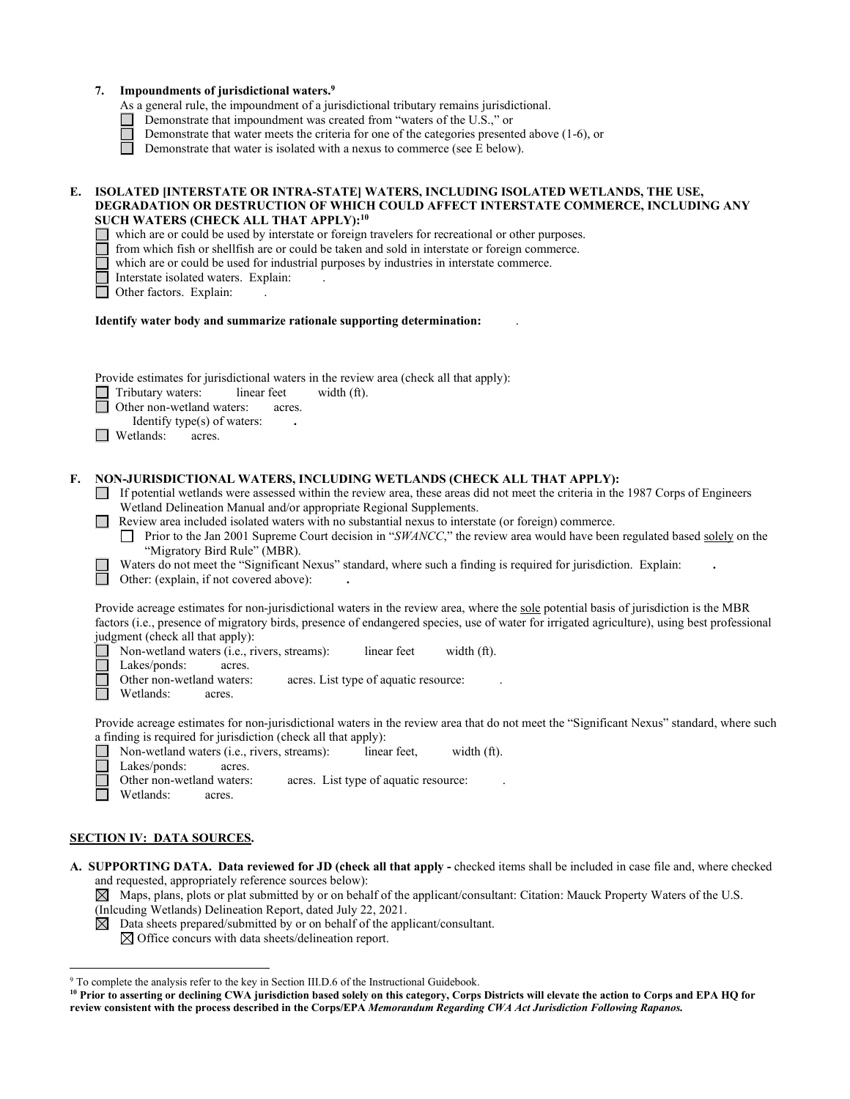|    | Impoundments of jurisdictional waters. <sup>9</sup><br>7.<br>As a general rule, the impoundment of a jurisdictional tributary remains jurisdictional.<br>Demonstrate that impoundment was created from "waters of the U.S.," or<br>Demonstrate that water meets the criteria for one of the categories presented above (1-6), or<br>Demonstrate that water is isolated with a nexus to commerce (see E below).                                                                                                                                                                                                                                                                                                               |
|----|------------------------------------------------------------------------------------------------------------------------------------------------------------------------------------------------------------------------------------------------------------------------------------------------------------------------------------------------------------------------------------------------------------------------------------------------------------------------------------------------------------------------------------------------------------------------------------------------------------------------------------------------------------------------------------------------------------------------------|
| E. | ISOLATED [INTERSTATE OR INTRA-STATE] WATERS, INCLUDING ISOLATED WETLANDS, THE USE,<br>DEGRADATION OR DESTRUCTION OF WHICH COULD AFFECT INTERSTATE COMMERCE, INCLUDING ANY<br>SUCH WATERS (CHECK ALL THAT APPLY): <sup>10</sup><br>which are or could be used by interstate or foreign travelers for recreational or other purposes.<br>from which fish or shellfish are or could be taken and sold in interstate or foreign commerce.<br>which are or could be used for industrial purposes by industries in interstate commerce.<br>Interstate isolated waters. Explain:<br>Other factors. Explain:                                                                                                                         |
|    | Identify water body and summarize rationale supporting determination:                                                                                                                                                                                                                                                                                                                                                                                                                                                                                                                                                                                                                                                        |
|    | Provide estimates for jurisdictional waters in the review area (check all that apply):<br>Tributary waters:<br>linear feet<br>width (ft).<br>Other non-wetland waters:<br>acres.<br>Identify type(s) of waters:<br>Wetlands:<br>acres.                                                                                                                                                                                                                                                                                                                                                                                                                                                                                       |
| F. | NON-JURISDICTIONAL WATERS, INCLUDING WETLANDS (CHECK ALL THAT APPLY):<br>If potential wetlands were assessed within the review area, these areas did not meet the criteria in the 1987 Corps of Engineers<br>Wetland Delineation Manual and/or appropriate Regional Supplements.<br>Review area included isolated waters with no substantial nexus to interstate (or foreign) commerce.<br>Prior to the Jan 2001 Supreme Court decision in "SWANCC," the review area would have been regulated based solely on the<br>$\perp$<br>"Migratory Bird Rule" (MBR).<br>Waters do not meet the "Significant Nexus" standard, where such a finding is required for jurisdiction. Explain:<br>Other: (explain, if not covered above): |
|    | Provide acreage estimates for non-jurisdictional waters in the review area, where the sole potential basis of jurisdiction is the MBR<br>factors (i.e., presence of migratory birds, presence of endangered species, use of water for irrigated agriculture), using best professional<br>judgment (check all that apply):<br>Non-wetland waters (i.e., rivers, streams):<br>linear feet<br>width (ft).<br>Lakes/ponds:<br>acres.<br>Other non-wetland waters:<br>acres. List type of aquatic resource:<br>Wetlands: acres.                                                                                                                                                                                                   |
|    | Provide acreage estimates for non-jurisdictional waters in the review area that do not meet the "Significant Nexus" standard, where such<br>a finding is required for jurisdiction (check all that apply):<br>Non-wetland waters (i.e., rivers, streams):<br>linear feet,<br>width (ft).<br>Lakes/ponds:<br>acres.<br>Other non-wetland waters:<br>acres. List type of aquatic resource:<br>Wetlands:<br>acres.                                                                                                                                                                                                                                                                                                              |

## **SECTION IV: DATA SOURCES.**

**A. SUPPORTING DATA. Data reviewed for JD (check all that apply -** checked items shall be included in case file and, where checked and requested, appropriately reference sources below):

 $\boxtimes$  Maps, plans, plots or plat submitted by or on behalf of the applicant/consultant: Citation: Mauck Property Waters of the U.S.

(Inlcuding Wetlands) Delineation Report, dated July 22, 2021.

 $\boxtimes$  Data sheets prepared/submitted by or on behalf of the applicant/consultant.

 $\boxtimes$  Office concurs with data sheets/delineation report.

<sup>&</sup>lt;sup>9</sup> To complete the analysis refer to the key in Section III.D.6 of the Instructional Guidebook.

<sup>&</sup>lt;sup>10</sup> Prior to asserting or declining CWA jurisdiction based solely on this category, Corps Districts will elevate the action to Corps and EPA HQ for **review consistent with the process described in the Corps/EPA** *Memorandum Regarding CWA Act Jurisdiction Following Rapanos.*